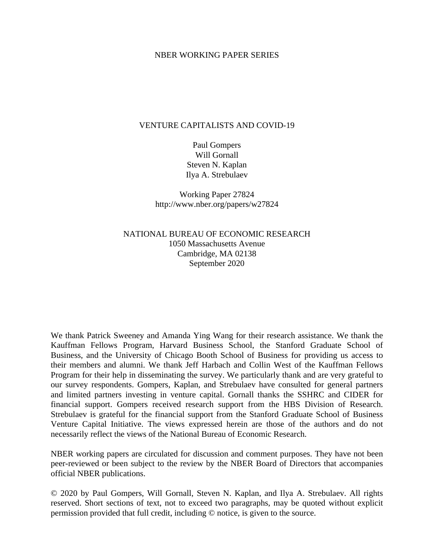## NBER WORKING PAPER SERIES

## VENTURE CAPITALISTS AND COVID-19

Paul Gompers Will Gornall Steven N. Kaplan Ilya A. Strebulaev

Working Paper 27824 http://www.nber.org/papers/w27824

NATIONAL BUREAU OF ECONOMIC RESEARCH 1050 Massachusetts Avenue Cambridge, MA 02138 September 2020

We thank Patrick Sweeney and Amanda Ying Wang for their research assistance. We thank the Kauffman Fellows Program, Harvard Business School, the Stanford Graduate School of Business, and the University of Chicago Booth School of Business for providing us access to their members and alumni. We thank Jeff Harbach and Collin West of the Kauffman Fellows Program for their help in disseminating the survey. We particularly thank and are very grateful to our survey respondents. Gompers, Kaplan, and Strebulaev have consulted for general partners and limited partners investing in venture capital. Gornall thanks the SSHRC and CIDER for financial support. Gompers received research support from the HBS Division of Research. Strebulaev is grateful for the financial support from the Stanford Graduate School of Business Venture Capital Initiative. The views expressed herein are those of the authors and do not necessarily reflect the views of the National Bureau of Economic Research.

NBER working papers are circulated for discussion and comment purposes. They have not been peer-reviewed or been subject to the review by the NBER Board of Directors that accompanies official NBER publications.

© 2020 by Paul Gompers, Will Gornall, Steven N. Kaplan, and Ilya A. Strebulaev. All rights reserved. Short sections of text, not to exceed two paragraphs, may be quoted without explicit permission provided that full credit, including © notice, is given to the source.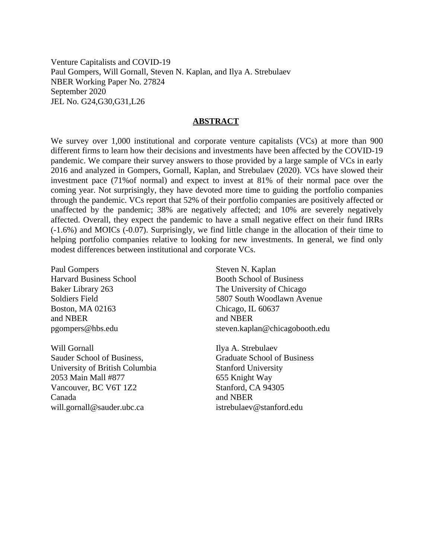Venture Capitalists and COVID-19 Paul Gompers, Will Gornall, Steven N. Kaplan, and Ilya A. Strebulaev NBER Working Paper No. 27824 September 2020 JEL No. G24,G30,G31,L26

## **ABSTRACT**

We survey over 1,000 institutional and corporate venture capitalists (VCs) at more than 900 different firms to learn how their decisions and investments have been affected by the COVID-19 pandemic. We compare their survey answers to those provided by a large sample of VCs in early 2016 and analyzed in Gompers, Gornall, Kaplan, and Strebulaev (2020). VCs have slowed their investment pace (71%of normal) and expect to invest at 81% of their normal pace over the coming year. Not surprisingly, they have devoted more time to guiding the portfolio companies through the pandemic. VCs report that 52% of their portfolio companies are positively affected or unaffected by the pandemic; 38% are negatively affected; and 10% are severely negatively affected. Overall, they expect the pandemic to have a small negative effect on their fund IRRs (-1.6%) and MOICs (-0.07). Surprisingly, we find little change in the allocation of their time to helping portfolio companies relative to looking for new investments. In general, we find only modest differences between institutional and corporate VCs.

Paul Gompers Harvard Business School Baker Library 263 Soldiers Field Boston, MA 02163 and NBER pgompers@hbs.edu

Will Gornall Sauder School of Business, University of British Columbia 2053 Main Mall #877 Vancouver, BC V6T 1Z2 Canada will.gornall@sauder.ubc.ca

Steven N. Kaplan Booth School of Business The University of Chicago 5807 South Woodlawn Avenue Chicago, IL 60637 and NBER steven.kaplan@chicagobooth.edu

Ilya A. Strebulaev Graduate School of Business Stanford University 655 Knight Way Stanford, CA 94305 and NBER istrebulaev@stanford.edu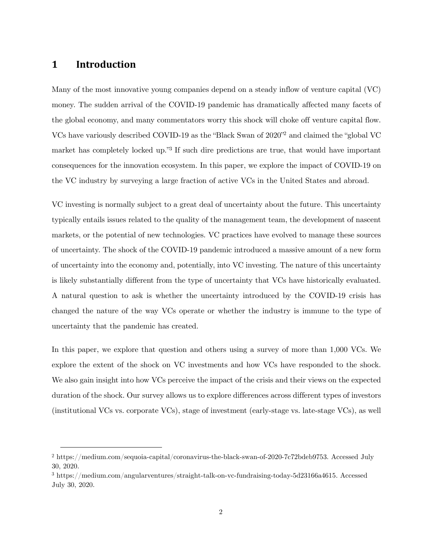# **1 Introduction**

Many of the most innovative young companies depend on a steady inflow of venture capital (VC) money. The sudden arrival of the COVID-19 pandemic has dramatically affected many facets of the global economy, and many commentators worry this shock will choke off venture capital flow. VCs have variously described COVID-19 as the "Black Swan of 2020"<sup>2</sup> and claimed the "global VC market has completely locked up."<sup>3</sup> If such dire predictions are true, that would have important consequences for the innovation ecosystem. In this paper, we explore the impact of COVID-19 on the VC industry by surveying a large fraction of active VCs in the United States and abroad.

VC investing is normally subject to a great deal of uncertainty about the future. This uncertainty typically entails issues related to the quality of the management team, the development of nascent markets, or the potential of new technologies. VC practices have evolved to manage these sources of uncertainty. The shock of the COVID-19 pandemic introduced a massive amount of a new form of uncertainty into the economy and, potentially, into VC investing. The nature of this uncertainty is likely substantially different from the type of uncertainty that VCs have historically evaluated. A natural question to ask is whether the uncertainty introduced by the COVID-19 crisis has changed the nature of the way VCs operate or whether the industry is immune to the type of uncertainty that the pandemic has created.

In this paper, we explore that question and others using a survey of more than 1,000 VCs. We explore the extent of the shock on VC investments and how VCs have responded to the shock. We also gain insight into how VCs perceive the impact of the crisis and their views on the expected duration of the shock. Our survey allows us to explore differences across different types of investors (institutional VCs vs. corporate VCs), stage of investment (early-stage vs. late-stage VCs), as well

<sup>2</sup> [https://medium.com/sequoia-capital/coronavirus-the-black-swan-of-2020-7c72bdeb9753.](https://medium.com/sequoiacapital/coronavirustheblackswanof20207c72bdeb9753) Accessed July 30, 2020.

<sup>3</sup> [https://medium.com/angularventures/straight-talk-on-vc-fundraising-today-5d23166a4615.](https://medium.com/angularventures/straight-talk-on-vc-fundraising-today-5d23166a4615) Accessed July 30, 2020.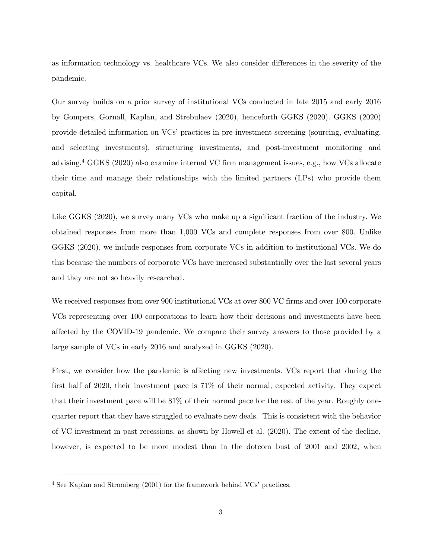as information technology vs. healthcare VCs. We also consider differences in the severity of the pandemic.

Our survey builds on a prior survey of institutional VCs conducted in late 2015 and early 2016 by Gompers, Gornall, Kaplan, and Strebulaev (2020), henceforth GGKS (2020). GGKS (2020) provide detailed information on VCs' practices in pre-investment screening (sourcing, evaluating, and selecting investments), structuring investments, and post-investment monitoring and advising.<sup>4</sup> GGKS (2020) also examine internal VC firm management issues, e.g., how VCs allocate their time and manage their relationships with the limited partners (LPs) who provide them capital.

Like GGKS (2020), we survey many VCs who make up a significant fraction of the industry. We obtained responses from more than 1,000 VCs and complete responses from over 800. Unlike GGKS (2020), we include responses from corporate VCs in addition to institutional VCs. We do this because the numbers of corporate VCs have increased substantially over the last several years and they are not so heavily researched.

We received responses from over 900 institutional VCs at over 800 VC firms and over 100 corporate VCs representing over 100 corporations to learn how their decisions and investments have been affected by the COVID-19 pandemic. We compare their survey answers to those provided by a large sample of VCs in early 2016 and analyzed in GGKS (2020).

First, we consider how the pandemic is affecting new investments. VCs report that during the first half of 2020, their investment pace is 71% of their normal, expected activity. They expect that their investment pace will be 81% of their normal pace for the rest of the year. Roughly onequarter report that they have struggled to evaluate new deals. This is consistent with the behavior of VC investment in past recessions, as shown by Howell et al. (2020). The extent of the decline, however, is expected to be more modest than in the dotcom bust of 2001 and 2002, when

<sup>&</sup>lt;sup>4</sup> See Kaplan and Stromberg (2001) for the framework behind VCs' practices.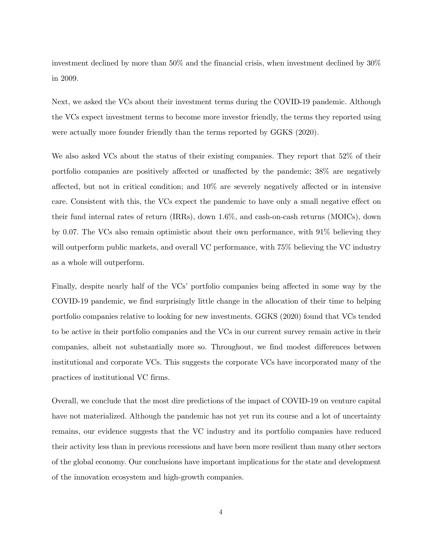investment declined by more than 50% and the financial crisis, when investment declined by 30% in 2009.

Next, we asked the VCs about their investment terms during the COVID-19 pandemic. Although the VCs expect investment terms to become more investor friendly, the terms they reported using were actually more founder friendly than the terms reported by GGKS (2020).

We also asked VCs about the status of their existing companies. They report that 52% of their portfolio companies are positively affected or unaffected by the pandemic; 38% are negatively affected, but not in critical condition; and 10% are severely negatively affected or in intensive care. Consistent with this, the VCs expect the pandemic to have only a small negative effect on their fund internal rates of return (IRRs), down 1.6%, and cash-on-cash returns (MOICs), down by 0.07. The VCs also remain optimistic about their own performance, with 91% believing they will outperform public markets, and overall VC performance, with  $75\%$  believing the VC industry as a whole will outperform.

Finally, despite nearly half of the VCs' portfolio companies being affected in some way by the COVID-19 pandemic, we find surprisingly little change in the allocation of their time to helping portfolio companies relative to looking for new investments. GGKS (2020) found that VCs tended to be active in their portfolio companies and the VCs in our current survey remain active in their companies, albeit not substantially more so. Throughout, we find modest differences between institutional and corporate VCs. This suggests the corporate VCs have incorporated many of the practices of institutional VC firms.

Overall, we conclude that the most dire predictions of the impact of COVID-19 on venture capital have not materialized. Although the pandemic has not yet run its course and a lot of uncertainty remains, our evidence suggests that the VC industry and its portfolio companies have reduced their activity less than in previous recessions and have been more resilient than many other sectors of the global economy. Our conclusions have important implications for the state and development of the innovation ecosystem and high-growth companies.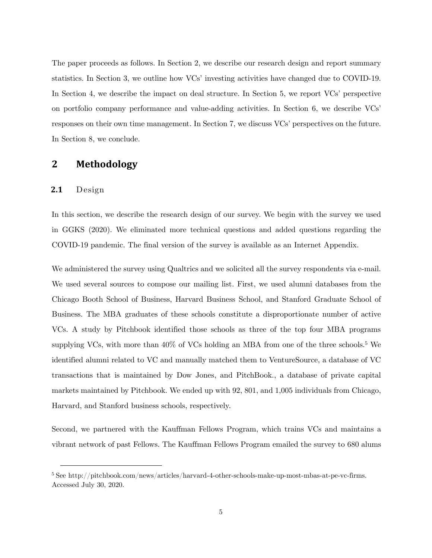The paper proceeds as follows. In Section 2, we describe our research design and report summary statistics. In Section 3, we outline how VCs' investing activities have changed due to COVID-19. In Section 4, we describe the impact on deal structure. In Section 5, we report VCs' perspective on portfolio company performance and value-adding activities. In Section 6, we describe VCs' responses on their own time management. In Section 7, we discuss VCs' perspectives on the future. In Section 8, we conclude.

## **2 Methodology**

## **2.1** Design

In this section, we describe the research design of our survey. We begin with the survey we used in GGKS (2020). We eliminated more technical questions and added questions regarding the COVID-19 pandemic. The final version of the survey is available as an Internet Appendix.

We administered the survey using Qualtrics and we solicited all the survey respondents via e-mail. We used several sources to compose our mailing list. First, we used alumni databases from the Chicago Booth School of Business, Harvard Business School, and Stanford Graduate School of Business. The MBA graduates of these schools constitute a disproportionate number of active VCs. A study by Pitchbook identified those schools as three of the top four MBA programs supplying VCs, with more than 40% of VCs holding an MBA from one of the three schools.<sup>5</sup> We identified alumni related to VC and manually matched them to VentureSource, a database of VC transactions that is maintained by Dow Jones, and PitchBook., a database of private capital markets maintained by Pitchbook. We ended up with 92, 801, and 1,005 individuals from Chicago, Harvard, and Stanford business schools, respectively.

Second, we partnered with the Kauffman Fellows Program, which trains VCs and maintains a vibrant network of past Fellows. The Kauffman Fellows Program emailed the survey to 680 alums

<sup>5</sup> See [http://pitchbook.com/news/articles/harvard-4-other-schools-make-up-most-mbas-at-pe-vc-firms.](http://pitchbook.com/news/articles/harvard-4-other-schools-make-up-most-mbas-at-pe-vc-firms) Accessed July 30, 2020.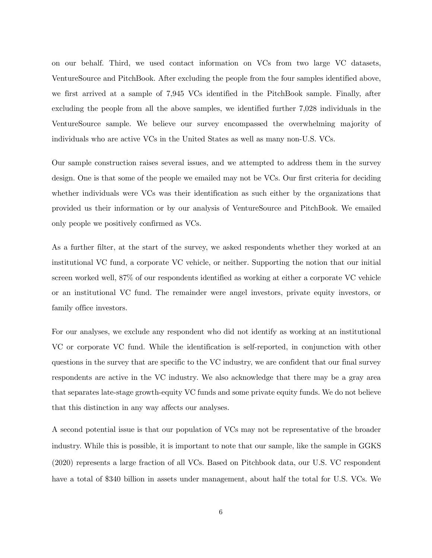on our behalf. Third, we used contact information on VCs from two large VC datasets, VentureSource and PitchBook. After excluding the people from the four samples identified above, we first arrived at a sample of 7,945 VCs identified in the PitchBook sample. Finally, after excluding the people from all the above samples, we identified further 7,028 individuals in the VentureSource sample. We believe our survey encompassed the overwhelming majority of individuals who are active VCs in the United States as well as many non-U.S. VCs.

Our sample construction raises several issues, and we attempted to address them in the survey design. One is that some of the people we emailed may not be VCs. Our first criteria for deciding whether individuals were VCs was their identification as such either by the organizations that provided us their information or by our analysis of VentureSource and PitchBook. We emailed only people we positively confirmed as VCs.

As a further filter, at the start of the survey, we asked respondents whether they worked at an institutional VC fund, a corporate VC vehicle, or neither. Supporting the notion that our initial screen worked well, 87% of our respondents identified as working at either a corporate VC vehicle or an institutional VC fund. The remainder were angel investors, private equity investors, or family office investors.

For our analyses, we exclude any respondent who did not identify as working at an institutional VC or corporate VC fund. While the identification is self-reported, in conjunction with other questions in the survey that are specific to the VC industry, we are confident that our final survey respondents are active in the VC industry. We also acknowledge that there may be a gray area that separates late-stage growth-equity VC funds and some private equity funds. We do not believe that this distinction in any way affects our analyses.

A second potential issue is that our population of VCs may not be representative of the broader industry. While this is possible, it is important to note that our sample, like the sample in GGKS (2020) represents a large fraction of all VCs. Based on Pitchbook data, our U.S. VC respondent have a total of \$340 billion in assets under management, about half the total for U.S. VCs. We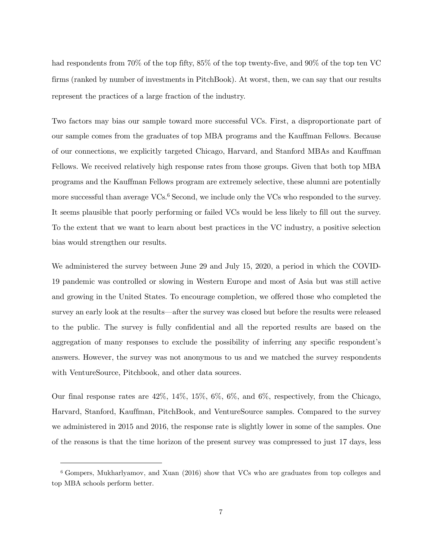had respondents from 70% of the top fifty, 85% of the top twenty-five, and 90% of the top ten VC firms (ranked by number of investments in PitchBook). At worst, then, we can say that our results represent the practices of a large fraction of the industry.

Two factors may bias our sample toward more successful VCs. First, a disproportionate part of our sample comes from the graduates of top MBA programs and the Kauffman Fellows. Because of our connections, we explicitly targeted Chicago, Harvard, and Stanford MBAs and Kauffman Fellows. We received relatively high response rates from those groups. Given that both top MBA programs and the Kauffman Fellows program are extremely selective, these alumni are potentially more successful than average VCs.<sup>6</sup> Second, we include only the VCs who responded to the survey. It seems plausible that poorly performing or failed VCs would be less likely to fill out the survey. To the extent that we want to learn about best practices in the VC industry, a positive selection bias would strengthen our results.

We administered the survey between June 29 and July 15, 2020, a period in which the COVID-19 pandemic was controlled or slowing in Western Europe and most of Asia but was still active and growing in the United States. To encourage completion, we offered those who completed the survey an early look at the results—after the survey was closed but before the results were released to the public. The survey is fully confidential and all the reported results are based on the aggregation of many responses to exclude the possibility of inferring any specific respondent's answers. However, the survey was not anonymous to us and we matched the survey respondents with VentureSource, Pitchbook, and other data sources.

Our final response rates are 42%, 14%, 15%, 6%, 6%, and 6%, respectively, from the Chicago, Harvard, Stanford, Kauffman, PitchBook, and VentureSource samples. Compared to the survey we administered in 2015 and 2016, the response rate is slightly lower in some of the samples. One of the reasons is that the time horizon of the present survey was compressed to just 17 days, less

<sup>6</sup> Gompers, Mukharlyamov, and Xuan (2016) show that VCs who are graduates from top colleges and top MBA schools perform better.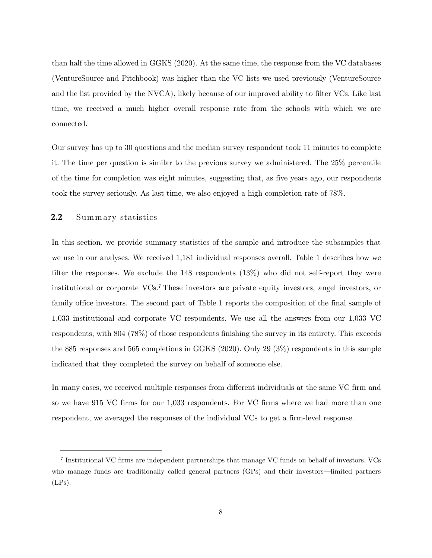than half the time allowed in GGKS (2020). At the same time, the response from the VC databases (VentureSource and Pitchbook) was higher than the VC lists we used previously (VentureSource and the list provided by the NVCA), likely because of our improved ability to filter VCs. Like last time, we received a much higher overall response rate from the schools with which we are connected.

Our survey has up to 30 questions and the median survey respondent took 11 minutes to complete it. The time per question is similar to the previous survey we administered. The 25% percentile of the time for completion was eight minutes, suggesting that, as five years ago, our respondents took the survey seriously. As last time, we also enjoyed a high completion rate of 78%.

#### **2.2** Summary statistics

In this section, we provide summary statistics of the sample and introduce the subsamples that we use in our analyses. We received 1,181 individual responses overall. Table 1 describes how we filter the responses. We exclude the 148 respondents (13%) who did not self-report they were institutional or corporate VCs.<sup>7</sup> These investors are private equity investors, angel investors, or family office investors. The second part of Table 1 reports the composition of the final sample of 1,033 institutional and corporate VC respondents. We use all the answers from our 1,033 VC respondents, with 804 (78%) of those respondents finishing the survey in its entirety. This exceeds the 885 responses and 565 completions in GGKS (2020). Only 29 (3%) respondents in this sample indicated that they completed the survey on behalf of someone else.

In many cases, we received multiple responses from different individuals at the same VC firm and so we have 915 VC firms for our 1,033 respondents. For VC firms where we had more than one respondent, we averaged the responses of the individual VCs to get a firm-level response.

<sup>7</sup> Institutional VC firms are independent partnerships that manage VC funds on behalf of investors. VCs who manage funds are traditionally called general partners (GPs) and their investors—limited partners  $(LPs).$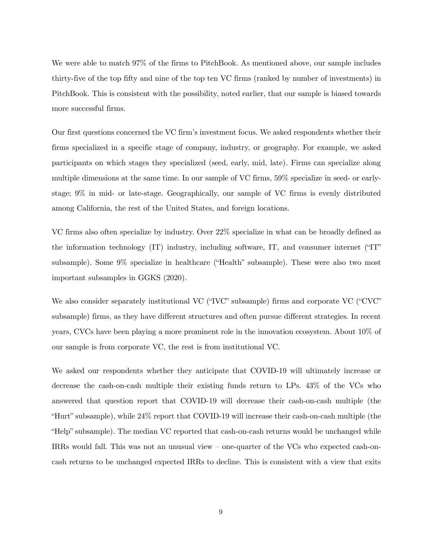We were able to match 97% of the firms to PitchBook. As mentioned above, our sample includes thirty-five of the top fifty and nine of the top ten VC firms (ranked by number of investments) in PitchBook. This is consistent with the possibility, noted earlier, that our sample is biased towards more successful firms.

Our first questions concerned the VC firm's investment focus. We asked respondents whether their firms specialized in a specific stage of company, industry, or geography. For example, we asked participants on which stages they specialized (seed, early, mid, late). Firms can specialize along multiple dimensions at the same time. In our sample of VC firms, 59% specialize in seed- or earlystage; 9% in mid- or late-stage. Geographically, our sample of VC firms is evenly distributed among California, the rest of the United States, and foreign locations.

VC firms also often specialize by industry. Over 22% specialize in what can be broadly defined as the information technology (IT) industry, including software, IT, and consumer internet ("IT" subsample). Some 9% specialize in healthcare ("Health" subsample). These were also two most important subsamples in GGKS (2020).

We also consider separately institutional VC ("IVC" subsample) firms and corporate VC ("CVC" subsample) firms, as they have different structures and often pursue different strategies. In recent years, CVCs have been playing a more prominent role in the innovation ecosystem. About 10% of our sample is from corporate VC, the rest is from institutional VC.

We asked our respondents whether they anticipate that COVID-19 will ultimately increase or decrease the cash-on-cash multiple their existing funds return to LPs. 43% of the VCs who answered that question report that COVID-19 will decrease their cash-on-cash multiple (the "Hurt" subsample), while 24% report that COVID-19 will increase their cash-on-cash multiple (the "Help" subsample). The median VC reported that cash-on-cash returns would be unchanged while IRRs would fall. This was not an unusual view – one-quarter of the VCs who expected cash-oncash returns to be unchanged expected IRRs to decline. This is consistent with a view that exits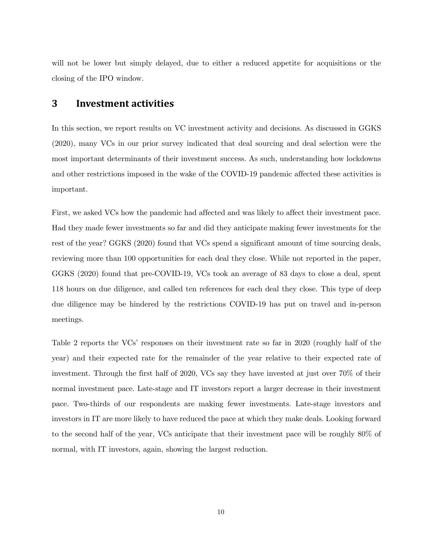will not be lower but simply delayed, due to either a reduced appetite for acquisitions or the closing of the IPO window.

## **3 Investment activities**

In this section, we report results on VC investment activity and decisions. As discussed in GGKS (2020), many VCs in our prior survey indicated that deal sourcing and deal selection were the most important determinants of their investment success. As such, understanding how lockdowns and other restrictions imposed in the wake of the COVID-19 pandemic affected these activities is important.

First, we asked VCs how the pandemic had affected and was likely to affect their investment pace. Had they made fewer investments so far and did they anticipate making fewer investments for the rest of the year? GGKS (2020) found that VCs spend a significant amount of time sourcing deals, reviewing more than 100 opportunities for each deal they close. While not reported in the paper, GGKS (2020) found that pre-COVID-19, VCs took an average of 83 days to close a deal, spent 118 hours on due diligence, and called ten references for each deal they close. This type of deep due diligence may be hindered by the restrictions COVID-19 has put on travel and in-person meetings.

Table 2 reports the VCs' responses on their investment rate so far in 2020 (roughly half of the year) and their expected rate for the remainder of the year relative to their expected rate of investment. Through the first half of 2020, VCs say they have invested at just over 70% of their normal investment pace. Late-stage and IT investors report a larger decrease in their investment pace. Two-thirds of our respondents are making fewer investments. Late-stage investors and investors in IT are more likely to have reduced the pace at which they make deals. Looking forward to the second half of the year, VCs anticipate that their investment pace will be roughly 80% of normal, with IT investors, again, showing the largest reduction.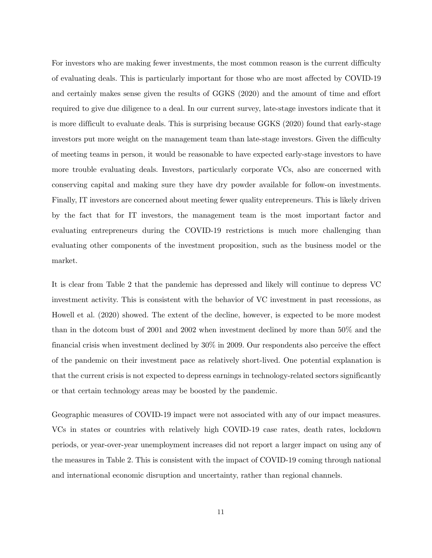For investors who are making fewer investments, the most common reason is the current difficulty of evaluating deals. This is particularly important for those who are most affected by COVID-19 and certainly makes sense given the results of GGKS (2020) and the amount of time and effort required to give due diligence to a deal. In our current survey, late-stage investors indicate that it is more difficult to evaluate deals. This is surprising because GGKS (2020) found that early-stage investors put more weight on the management team than late-stage investors. Given the difficulty of meeting teams in person, it would be reasonable to have expected early-stage investors to have more trouble evaluating deals. Investors, particularly corporate VCs, also are concerned with conserving capital and making sure they have dry powder available for follow-on investments. Finally, IT investors are concerned about meeting fewer quality entrepreneurs. This is likely driven by the fact that for IT investors, the management team is the most important factor and evaluating entrepreneurs during the COVID-19 restrictions is much more challenging than evaluating other components of the investment proposition, such as the business model or the market.

It is clear from Table 2 that the pandemic has depressed and likely will continue to depress VC investment activity. This is consistent with the behavior of VC investment in past recessions, as Howell et al. (2020) showed. The extent of the decline, however, is expected to be more modest than in the dotcom bust of 2001 and 2002 when investment declined by more than 50% and the financial crisis when investment declined by 30% in 2009. Our respondents also perceive the effect of the pandemic on their investment pace as relatively short-lived. One potential explanation is that the current crisis is not expected to depress earnings in technology-related sectors significantly or that certain technology areas may be boosted by the pandemic.

Geographic measures of COVID-19 impact were not associated with any of our impact measures. VCs in states or countries with relatively high COVID-19 case rates, death rates, lockdown periods, or year-over-year unemployment increases did not report a larger impact on using any of the measures in Table 2. This is consistent with the impact of COVID-19 coming through national and international economic disruption and uncertainty, rather than regional channels.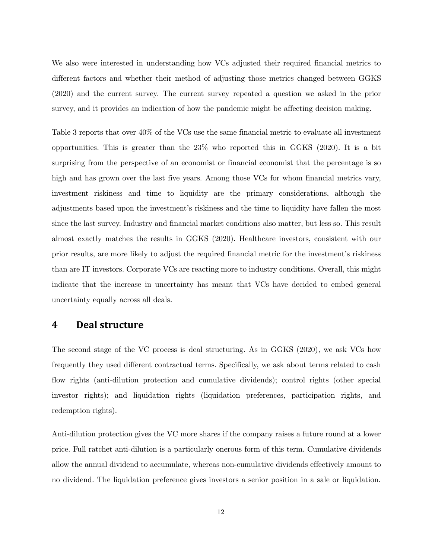We also were interested in understanding how VCs adjusted their required financial metrics to different factors and whether their method of adjusting those metrics changed between GGKS (2020) and the current survey. The current survey repeated a question we asked in the prior survey, and it provides an indication of how the pandemic might be affecting decision making.

Table 3 reports that over 40% of the VCs use the same financial metric to evaluate all investment opportunities. This is greater than the 23% who reported this in GGKS (2020). It is a bit surprising from the perspective of an economist or financial economist that the percentage is so high and has grown over the last five years. Among those VCs for whom financial metrics vary, investment riskiness and time to liquidity are the primary considerations, although the adjustments based upon the investment's riskiness and the time to liquidity have fallen the most since the last survey. Industry and financial market conditions also matter, but less so. This result almost exactly matches the results in GGKS (2020). Healthcare investors, consistent with our prior results, are more likely to adjust the required financial metric for the investment's riskiness than are IT investors. Corporate VCs are reacting more to industry conditions. Overall, this might indicate that the increase in uncertainty has meant that VCs have decided to embed general uncertainty equally across all deals.

## **4 Deal structure**

The second stage of the VC process is deal structuring. As in GGKS (2020), we ask VCs how frequently they used different contractual terms. Specifically, we ask about terms related to cash flow rights (anti-dilution protection and cumulative dividends); control rights (other special investor rights); and liquidation rights (liquidation preferences, participation rights, and redemption rights).

Anti-dilution protection gives the VC more shares if the company raises a future round at a lower price. Full ratchet anti-dilution is a particularly onerous form of this term. Cumulative dividends allow the annual dividend to accumulate, whereas non-cumulative dividends effectively amount to no dividend. The liquidation preference gives investors a senior position in a sale or liquidation.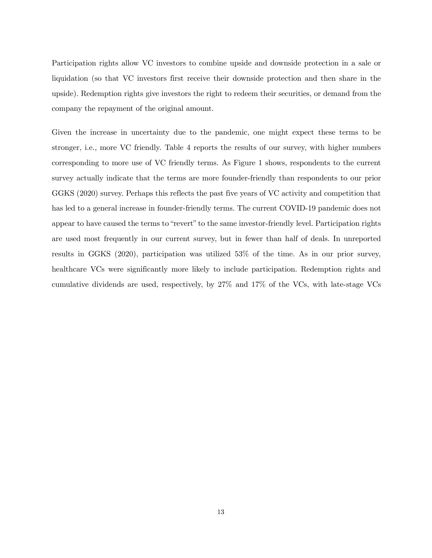Participation rights allow VC investors to combine upside and downside protection in a sale or liquidation (so that VC investors first receive their downside protection and then share in the upside). Redemption rights give investors the right to redeem their securities, or demand from the company the repayment of the original amount.

Given the increase in uncertainty due to the pandemic, one might expect these terms to be stronger, i.e., more VC friendly. Table 4 reports the results of our survey, with higher numbers corresponding to more use of VC friendly terms. As [Figure 1](#page-14-0) shows, respondents to the current survey actually indicate that the terms are more founder-friendly than respondents to our prior GGKS (2020) survey. Perhaps this reflects the past five years of VC activity and competition that has led to a general increase in founder-friendly terms. The current COVID-19 pandemic does not appear to have caused the terms to "revert" to the same investor-friendly level. Participation rights are used most frequently in our current survey, but in fewer than half of deals. In unreported results in GGKS (2020), participation was utilized 53% of the time. As in our prior survey, healthcare VCs were significantly more likely to include participation. Redemption rights and cumulative dividends are used, respectively, by 27% and 17% of the VCs, with late-stage VCs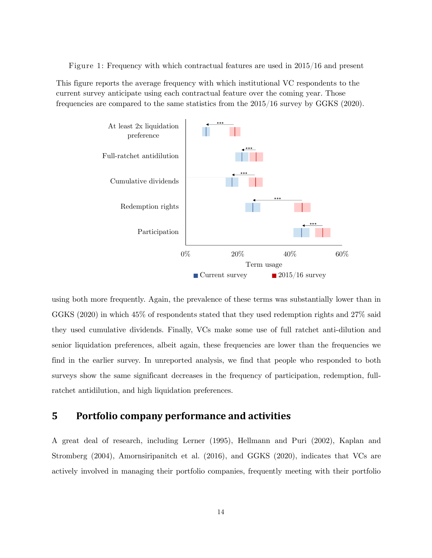<span id="page-14-0"></span>Figure 1: Frequency with which contractual features are used in 2015/16 and present

This figure reports the average frequency with which institutional VC respondents to the current survey anticipate using each contractual feature over the coming year. Those frequencies are compared to the same statistics from the 2015/16 survey by GGKS (2020).



using both more frequently. Again, the prevalence of these terms was substantially lower than in GGKS (2020) in which 45% of respondents stated that they used redemption rights and 27% said they used cumulative dividends. Finally, VCs make some use of full ratchet anti-dilution and senior liquidation preferences, albeit again, these frequencies are lower than the frequencies we find in the earlier survey. In unreported analysis, we find that people who responded to both surveys show the same significant decreases in the frequency of participation, redemption, fullratchet antidilution, and high liquidation preferences.

# **5 Portfolio company performance and activities**

A great deal of research, including Lerner (1995), Hellmann and Puri (2002), Kaplan and Stromberg (2004), Amornsiripanitch et al. (2016), and GGKS (2020), indicates that VCs are actively involved in managing their portfolio companies, frequently meeting with their portfolio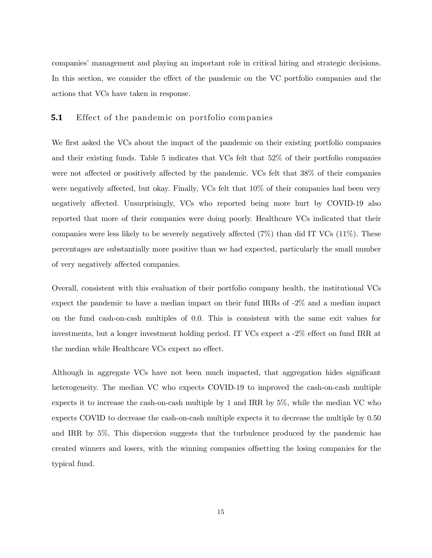companies' management and playing an important role in critical hiring and strategic decisions. In this section, we consider the effect of the pandemic on the VC portfolio companies and the actions that VCs have taken in response.

#### **5.1** Effect of the pandemic on portfolio companies

We first asked the VCs about the impact of the pandemic on their existing portfolio companies and their existing funds. Table 5 indicates that VCs felt that 52% of their portfolio companies were not affected or positively affected by the pandemic. VCs felt that 38% of their companies were negatively affected, but okay. Finally, VCs felt that 10% of their companies had been very negatively affected. Unsurprisingly, VCs who reported being more hurt by COVID-19 also reported that more of their companies were doing poorly. Healthcare VCs indicated that their companies were less likely to be severely negatively affected  $(7\%)$  than did IT VCs  $(11\%)$ . These percentages are substantially more positive than we had expected, particularly the small number of very negatively affected companies.

Overall, consistent with this evaluation of their portfolio company health, the institutional VCs expect the pandemic to have a median impact on their fund IRRs of -2% and a median impact on the fund cash-on-cash multiples of 0.0. This is consistent with the same exit values for investments, but a longer investment holding period. IT VCs expect a -2% effect on fund IRR at the median while Healthcare VCs expect no effect.

Although in aggregate VCs have not been much impacted, that aggregation hides significant heterogeneity. The median VC who expects COVID-19 to improved the cash-on-cash multiple expects it to increase the cash-on-cash multiple by 1 and IRR by 5%, while the median VC who expects COVID to decrease the cash-on-cash multiple expects it to decrease the multiple by 0.50 and IRR by 5%. This dispersion suggests that the turbulence produced by the pandemic has created winners and losers, with the winning companies offsetting the losing companies for the typical fund.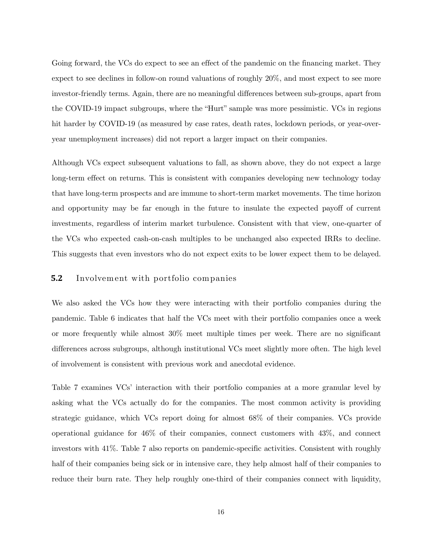Going forward, the VCs do expect to see an effect of the pandemic on the financing market. They expect to see declines in follow-on round valuations of roughly 20%, and most expect to see more investor-friendly terms. Again, there are no meaningful differences between sub-groups, apart from the COVID-19 impact subgroups, where the "Hurt" sample was more pessimistic. VCs in regions hit harder by COVID-19 (as measured by case rates, death rates, lockdown periods, or year-overyear unemployment increases) did not report a larger impact on their companies.

Although VCs expect subsequent valuations to fall, as shown above, they do not expect a large long-term effect on returns. This is consistent with companies developing new technology today that have long-term prospects and are immune to short-term market movements. The time horizon and opportunity may be far enough in the future to insulate the expected payoff of current investments, regardless of interim market turbulence. Consistent with that view, one-quarter of the VCs who expected cash-on-cash multiples to be unchanged also expected IRRs to decline. This suggests that even investors who do not expect exits to be lower expect them to be delayed.

#### **5.2** Involvement with portfolio companies

We also asked the VCs how they were interacting with their portfolio companies during the pandemic. Table 6 indicates that half the VCs meet with their portfolio companies once a week or more frequently while almost 30% meet multiple times per week. There are no significant differences across subgroups, although institutional VCs meet slightly more often. The high level of involvement is consistent with previous work and anecdotal evidence.

Table 7 examines VCs' interaction with their portfolio companies at a more granular level by asking what the VCs actually do for the companies. The most common activity is providing strategic guidance, which VCs report doing for almost 68% of their companies. VCs provide operational guidance for 46% of their companies, connect customers with 43%, and connect investors with 41%. Table 7 also reports on pandemic-specific activities. Consistent with roughly half of their companies being sick or in intensive care, they help almost half of their companies to reduce their burn rate. They help roughly one-third of their companies connect with liquidity,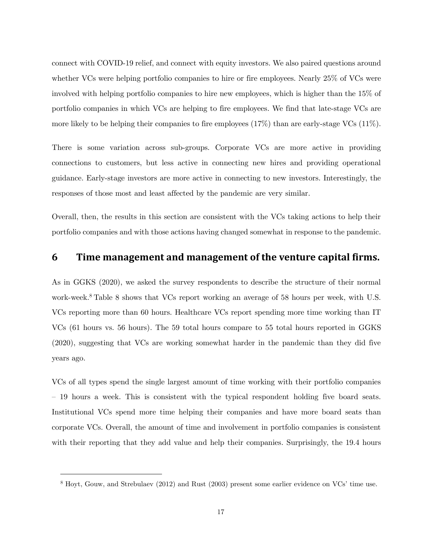connect with COVID-19 relief, and connect with equity investors. We also paired questions around whether VCs were helping portfolio companies to hire or fire employees. Nearly 25% of VCs were involved with helping portfolio companies to hire new employees, which is higher than the 15% of portfolio companies in which VCs are helping to fire employees. We find that late-stage VCs are more likely to be helping their companies to fire employees (17%) than are early-stage VCs (11%).

There is some variation across sub-groups. Corporate VCs are more active in providing connections to customers, but less active in connecting new hires and providing operational guidance. Early-stage investors are more active in connecting to new investors. Interestingly, the responses of those most and least affected by the pandemic are very similar.

Overall, then, the results in this section are consistent with the VCs taking actions to help their portfolio companies and with those actions having changed somewhat in response to the pandemic.

# **6 Time management and management of the venture capital firms.**

As in GGKS (2020), we asked the survey respondents to describe the structure of their normal work-week.<sup>8</sup> Table 8 shows that VCs report working an average of 58 hours per week, with U.S. VCs reporting more than 60 hours. Healthcare VCs report spending more time working than IT VCs (61 hours vs. 56 hours). The 59 total hours compare to 55 total hours reported in GGKS (2020), suggesting that VCs are working somewhat harder in the pandemic than they did five years ago.

VCs of all types spend the single largest amount of time working with their portfolio companies – 19 hours a week. This is consistent with the typical respondent holding five board seats. Institutional VCs spend more time helping their companies and have more board seats than corporate VCs. Overall, the amount of time and involvement in portfolio companies is consistent with their reporting that they add value and help their companies. Surprisingly, the 19.4 hours

<sup>8</sup> Hoyt, Gouw, and Strebulaev (2012) and Rust (2003) present some earlier evidence on VCs' time use.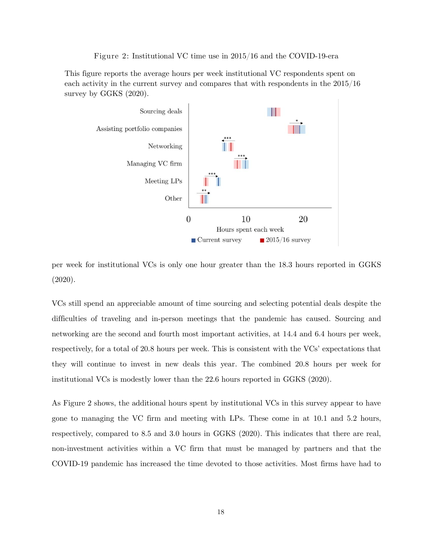Figure 2: Institutional VC time use in 2015/16 and the COVID-19-era

<span id="page-18-0"></span>This figure reports the average hours per week institutional VC respondents spent on each activity in the current survey and compares that with respondents in the 2015/16 survey by GGKS (2020).



per week for institutional VCs is only one hour greater than the 18.3 hours reported in GGKS (2020).

VCs still spend an appreciable amount of time sourcing and selecting potential deals despite the difficulties of traveling and in-person meetings that the pandemic has caused. Sourcing and networking are the second and fourth most important activities, at 14.4 and 6.4 hours per week, respectively, for a total of 20.8 hours per week. This is consistent with the VCs' expectations that they will continue to invest in new deals this year. The combined 20.8 hours per week for institutional VCs is modestly lower than the 22.6 hours reported in GGKS (2020).

As [Figure 2](#page-18-0) shows, the additional hours spent by institutional VCs in this survey appear to have gone to managing the VC firm and meeting with LPs. These come in at 10.1 and 5.2 hours, respectively, compared to 8.5 and 3.0 hours in GGKS (2020). This indicates that there are real, non-investment activities within a VC firm that must be managed by partners and that the COVID-19 pandemic has increased the time devoted to those activities. Most firms have had to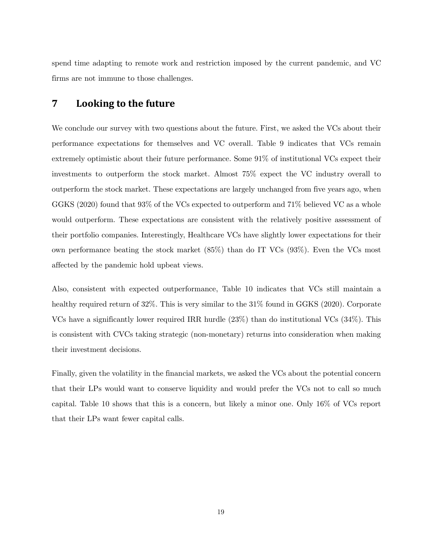spend time adapting to remote work and restriction imposed by the current pandemic, and VC firms are not immune to those challenges.

# **7 Looking to the future**

We conclude our survey with two questions about the future. First, we asked the VCs about their performance expectations for themselves and VC overall. Table 9 indicates that VCs remain extremely optimistic about their future performance. Some 91% of institutional VCs expect their investments to outperform the stock market. Almost 75% expect the VC industry overall to outperform the stock market. These expectations are largely unchanged from five years ago, when GGKS (2020) found that 93% of the VCs expected to outperform and 71% believed VC as a whole would outperform. These expectations are consistent with the relatively positive assessment of their portfolio companies. Interestingly, Healthcare VCs have slightly lower expectations for their own performance beating the stock market (85%) than do IT VCs (93%). Even the VCs most affected by the pandemic hold upbeat views.

Also, consistent with expected outperformance, Table 10 indicates that VCs still maintain a healthy required return of 32%. This is very similar to the  $31\%$  found in GGKS (2020). Corporate VCs have a significantly lower required IRR hurdle (23%) than do institutional VCs (34%). This is consistent with CVCs taking strategic (non-monetary) returns into consideration when making their investment decisions.

Finally, given the volatility in the financial markets, we asked the VCs about the potential concern that their LPs would want to conserve liquidity and would prefer the VCs not to call so much capital. Table 10 shows that this is a concern, but likely a minor one. Only 16% of VCs report that their LPs want fewer capital calls.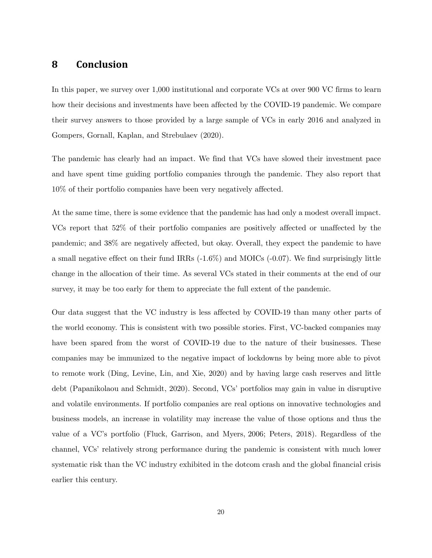# **8 Conclusion**

In this paper, we survey over 1,000 institutional and corporate VCs at over 900 VC firms to learn how their decisions and investments have been affected by the COVID-19 pandemic. We compare their survey answers to those provided by a large sample of VCs in early 2016 and analyzed in Gompers, Gornall, Kaplan, and Strebulaev (2020).

The pandemic has clearly had an impact. We find that VCs have slowed their investment pace and have spent time guiding portfolio companies through the pandemic. They also report that 10% of their portfolio companies have been very negatively affected.

At the same time, there is some evidence that the pandemic has had only a modest overall impact. VCs report that 52% of their portfolio companies are positively affected or unaffected by the pandemic; and 38% are negatively affected, but okay. Overall, they expect the pandemic to have a small negative effect on their fund IRRs (-1.6%) and MOICs (-0.07). We find surprisingly little change in the allocation of their time. As several VCs stated in their comments at the end of our survey, it may be too early for them to appreciate the full extent of the pandemic.

Our data suggest that the VC industry is less affected by COVID-19 than many other parts of the world economy. This is consistent with two possible stories. First, VC-backed companies may have been spared from the worst of COVID-19 due to the nature of their businesses. These companies may be immunized to the negative impact of lockdowns by being more able to pivot to remote work (Ding, Levine, Lin, and Xie, 2020) and by having large cash reserves and little debt (Papanikolaou and Schmidt, 2020). Second, VCs' portfolios may gain in value in disruptive and volatile environments. If portfolio companies are real options on innovative technologies and business models, an increase in volatility may increase the value of those options and thus the value of a VC's portfolio (Fluck, Garrison, and Myers, 2006; Peters, 2018). Regardless of the channel, VCs' relatively strong performance during the pandemic is consistent with much lower systematic risk than the VC industry exhibited in the dotcom crash and the global financial crisis earlier this century.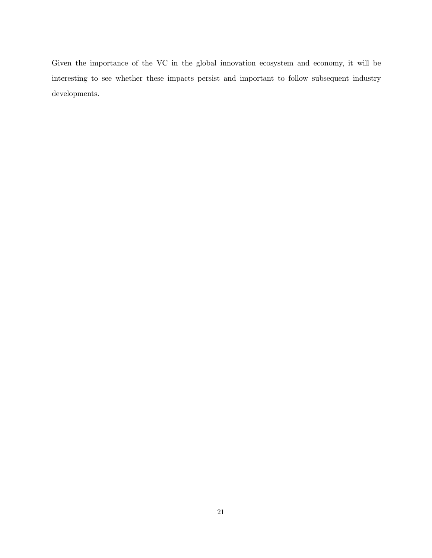Given the importance of the VC in the global innovation ecosystem and economy, it will be interesting to see whether these impacts persist and important to follow subsequent industry developments.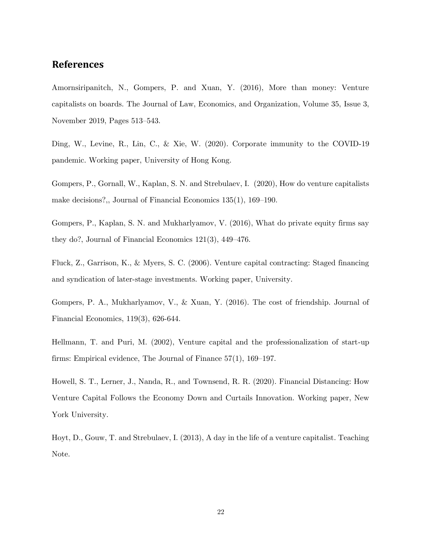# **References**

Amornsiripanitch, N., Gompers, P. and Xuan, Y. (2016), More than money: Venture capitalists on boards. The Journal of Law, Economics, and Organization, Volume 35, Issue 3, November 2019, Pages 513–543.

Ding, W., Levine, R., Lin, C., & Xie, W. (2020). Corporate immunity to the COVID-19 pandemic. Working paper, University of Hong Kong.

Gompers, P., Gornall, W., Kaplan, S. N. and Strebulaev, I. (2020), How do venture capitalists make decisions?,, Journal of Financial Economics 135(1), 169–190.

Gompers, P., Kaplan, S. N. and Mukharlyamov, V. (2016), What do private equity firms say they do?, Journal of Financial Economics 121(3), 449–476.

Fluck, Z., Garrison, K., & Myers, S. C. (2006). Venture capital contracting: Staged financing and syndication of later-stage investments. Working paper, University.

Gompers, P. A., Mukharlyamov, V., & Xuan, Y. (2016). The cost of friendship. Journal of Financial Economics, 119(3), 626-644.

Hellmann, T. and Puri, M. (2002), Venture capital and the professionalization of start-up firms: Empirical evidence, The Journal of Finance 57(1), 169–197.

Howell, S. T., Lerner, J., Nanda, R., and Townsend, R. R. (2020). Financial Distancing: How Venture Capital Follows the Economy Down and Curtails Innovation. Working paper, New York University.

Hoyt, D., Gouw, T. and Strebulaev, I. (2013), A day in the life of a venture capitalist. Teaching Note.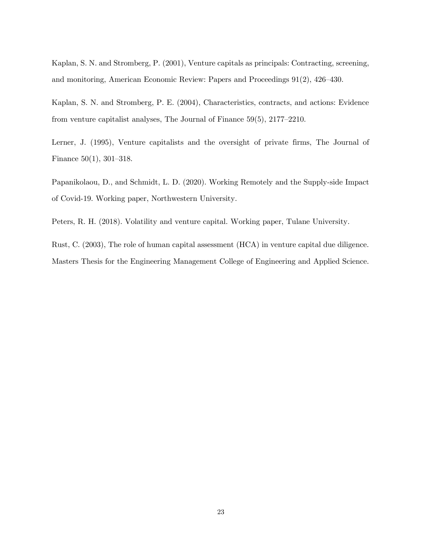Kaplan, S. N. and Stromberg, P. (2001), Venture capitals as principals: Contracting, screening, and monitoring, American Economic Review: Papers and Proceedings 91(2), 426–430.

Kaplan, S. N. and Stromberg, P. E. (2004), Characteristics, contracts, and actions: Evidence from venture capitalist analyses, The Journal of Finance 59(5), 2177–2210.

Lerner, J. (1995), Venture capitalists and the oversight of private firms, The Journal of Finance 50(1), 301–318.

Papanikolaou, D., and Schmidt, L. D. (2020). Working Remotely and the Supply-side Impact of Covid-19. Working paper, Northwestern University.

Peters, R. H. (2018). Volatility and venture capital. Working paper, Tulane University.

Rust, C. (2003), The role of human capital assessment (HCA) in venture capital due diligence. Masters Thesis for the Engineering Management College of Engineering and Applied Science.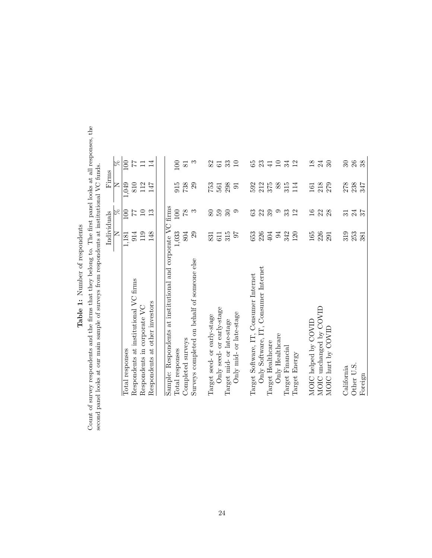| i<br>Ï<br>ĵ<br>ı                                     |
|------------------------------------------------------|
| ć<br>Ó                                               |
| ֖֖֖֪֪ׅ֪֪֪֦֪֪֪֪֦֪֪֪֪֪֛֚֚֚֚֚֚֚֚֚֚֬֝֝֝֬֝֓֬֝֬֝֬֝֬֝֬<br>ļ |
| ı<br>١                                               |
|                                                      |

Count of survey respondents and the firms that they belong to. The first panel looks at all responses, the second panel looks at our main sample of surveys from respondents at institutional VC funds. Count of survey respondents and the firms that they belong to. The first panel looks at all responses, the second panel looks at our main sample of surveys from respondents at institutional VC funds.

|                                                             | Individuals |                 | Firms          |                             |
|-------------------------------------------------------------|-------------|-----------------|----------------|-----------------------------|
|                                                             | Z           | R               | Z              | R                           |
| Total responses                                             | 1,181       | 100             | 1,049          | 100                         |
| Respondents at institutional VC firms                       | 914         |                 | 810            | 77                          |
| Respondents in corporate VC                                 | 119         | 10              | 112            | $\Box$                      |
| Respondents at other investors                              | 148         | 13              | 147            | $\overline{14}$             |
|                                                             |             |                 |                |                             |
| Sample: Respondents at institutional and corporate VC firms |             |                 |                |                             |
| Total responses                                             | 1,033       | 100             | 915            | <b>DO</b>                   |
| Completed surveys                                           | 804         | 87              | 738            | $\overline{81}$             |
| Surveys completed on behalf of someone else                 | 29          | $\infty$        | 29             | $\infty$                    |
|                                                             | 831         |                 |                |                             |
| Target seed- or early-stage                                 |             | 80              | 753            | 82                          |
| Only seed- or early-stage                                   | 611         | 50              | 561            | 61                          |
| Target mid- or late-stage                                   | 315         | $30\,$          | 298            | 33                          |
| Only mid- or late-stage                                     | 16          | $\circ$         | $\overline{5}$ | $\Box$                      |
|                                                             |             |                 |                |                             |
| Target Software, IT, Consumer Internet                      | 653         | 63              | 592            | 65                          |
| Only Software, IT, Consumer Internet                        | 226         | 22              | 212            | 23                          |
| Target Healthcare                                           | 404         | 39              | 375            | $\overline{41}$             |
| Only Healthcare                                             | 54          | $\circ$         | 88             | $\Box$                      |
| Target Financial                                            | 342         | 33              | 315            | 34                          |
| Target Energy                                               | 120         | 12              | 114            | $\mathbf{r}$                |
| MOIC helped by COVID                                        | 165         | 16              | 161            | $\frac{8}{1}$               |
| MOIC unchanged by COVID                                     | 226         |                 | 218            | $^{24}$                     |
|                                                             |             | 28              |                |                             |
| MOIC hurt by COVID                                          | 291         |                 | 279            | $\mathcal{S}^{\mathcal{O}}$ |
| California                                                  | 319         | $\overline{31}$ | 278            | $\mathcal{S}$               |
| Other U.S.                                                  | 253         | 24              | 238            | 26                          |
| Foreign                                                     | 381         | 57              | 347            | 38                          |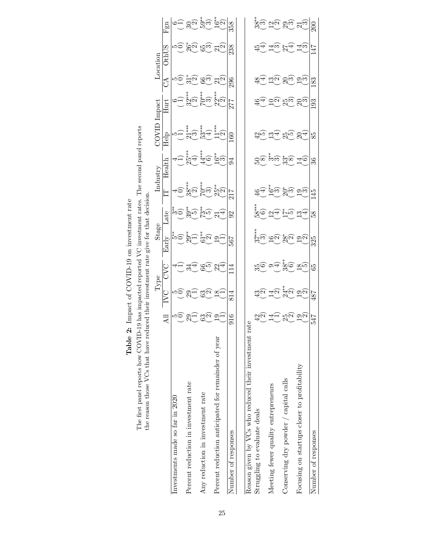| The first panel reports how COVID-19 has impacted reported VC investment rates.<br>the reason those VCs that have red |                       |                                                                                                  |                                          | uced their investment rate give for that decision |              |                           | The second panel reports |        |                      |                          |                       |                  |
|-----------------------------------------------------------------------------------------------------------------------|-----------------------|--------------------------------------------------------------------------------------------------|------------------------------------------|---------------------------------------------------|--------------|---------------------------|--------------------------|--------|----------------------|--------------------------|-----------------------|------------------|
|                                                                                                                       |                       |                                                                                                  | Type                                     | Stage                                             |              |                           | Industry                 | TOVI   | $_{\rm{Im}$ pact     |                          | $\rm Location$        |                  |
|                                                                                                                       |                       |                                                                                                  | SSC                                      | Early                                             | Late         |                           | $_{\rm{Health}}$         | Help   | $_{\rm{Hurt}}$       | ్ర                       | S<br>$\sum_{i=1}^{n}$ | E<br>Œ           |
| Investments made so far in 2020                                                                                       |                       | ഥ⊂                                                                                               |                                          | န္း                                               |              |                           |                          |        |                      |                          |                       |                  |
| Percent reduction in investment rate                                                                                  |                       |                                                                                                  | 4                                        |                                                   | మ్లేల్       | $\frac{1}{2}$             |                          | ÍM)    | $.7*$<br>ুন          | $\overline{\mathcal{C}}$ | ଅଧ                    |                  |
| Any reduction in investment rate                                                                                      | $\mathbb{S}^{\infty}$ | 30 <sup>o</sup>                                                                                  | ŗΟ,                                      | $\overline{\mathcal{C}}$                          | وسي          | *****<br>$\sum_{i=1}^{n}$ | $\hat{c}$                | $3**$  | ディネオ<br>$\approx$    | ೧೯                       | က္ထဲက                 | తల కొట్ట         |
| Percent reduction anticipated for remainder of year                                                                   | ون                    | $\infty$                                                                                         | 4<br>ွ                                   |                                                   | 4            | $25^*$                    | في                       | (์∼    | no**<br>ગુંભ         | ήŃ                       | $\vec{c}$             | $\sum_{i=1}^{n}$ |
| Number of responses                                                                                                   | 916                   | 814                                                                                              | 극                                        | 799                                               | $\mathbb{S}$ | 217                       | 34                       | 3      | 277                  | 206                      | 238                   | 358              |
| Reason given by VCs who reduced their investment rate                                                                 |                       |                                                                                                  |                                          |                                                   |              |                           |                          |        |                      |                          |                       |                  |
| Struggling to evaluate deals                                                                                          | امات                  | ದ್ದಿ                                                                                             |                                          |                                                   |              |                           | ည်း                      | دىرنى  | 4                    |                          | ₹                     | အိွက်            |
| Meeting fewer quality entrepreneurs                                                                                   |                       | ন্ত্য                                                                                            | 4                                        |                                                   |              | ့က                        | $\infty$                 | က      |                      | ುಂ                       | ±್                    |                  |
| Conserving dry powder / capital calls                                                                                 | $\mathbb{Z}$          |                                                                                                  | $\overset{\ast}{\mathrm{38^{\ast\ast}}}$ | ದಲ್ಲಿ ಹಲ್ಲ                                        | U-10         | က်                        | <u>အီတ</u>               | ್ರ ಬೆಲ |                      | <u>న్</u> ట              | Þ                     | ည္ရမ ဗိမ         |
| Focusing on startups closer to profitability                                                                          | ಶ್ರಸ                  | $\stackrel{*}{\sim} \stackrel{\sim}{\sim} \stackrel{\sim}{\sim} \widehat{\stackrel{\sim}{\sim}}$ | $\overline{\infty}$ റ                    | ್ತವ                                               | ↵<br>S       | <u>ာက</u>                 | ಸ್ಲೇ                     | 4      | $\infty$<br>$\Omega$ | တက                       | ±ಌ                    | $\Xi_{\omega}$   |
| Number of responses                                                                                                   | 547                   | 487                                                                                              | 65                                       | 325                                               | 38           | 45                        | 36                       | 85     | 193                  | 183                      | 47                    |                  |

Table 2: Impact of COVID-19 on investment rate **Table 2:** Impact of COVID-19 on investment rate

25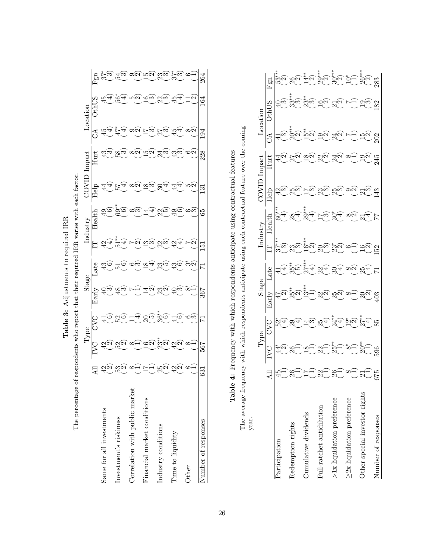| The percentage                 |                           |                        | respondents who report that t |                              | their required 1      |            | IRR varies with each factor |               |                |              |         |                |
|--------------------------------|---------------------------|------------------------|-------------------------------|------------------------------|-----------------------|------------|-----------------------------|---------------|----------------|--------------|---------|----------------|
|                                |                           | Type                   |                               | Stage                        |                       |            | industry                    |               | mpac           |              | ocation |                |
|                                | $\Xi$                     |                        | <b>UNQ</b>                    | Early                        | -ate                  | H          | dealth                      | Help          | $_{\rm{Hurt}}$ | I            | Oth     | Fgn            |
| Same for all investments       | ง้⊂<br>$\frac{4}{2}$      | ದ್ದೇ                   |                               |                              | ಪ                     | έ          |                             |               | ದ್ದೆಲ್         |              |         |                |
| Investment's riskiness         | က္လ်                      | Jς                     |                               | ထ္က                          |                       |            | ್ಗಾಂ                        |               | တ္တိက          |              | š       | ≭ట             |
| Correlation with public market | ò.                        | $\infty$ -             |                               |                              | ೲ                     | $\epsilon$ | က်                          |               | $\infty$ c     |              |         | ೧೧             |
| Financial market conditions    | ŗ<br>٣                    |                        | ား<br>၂                       | <u>್</u> ಲ<br>$\overline{V}$ | ∞<br>प                | ءنى        | ₹                           | ထွဲသ          | πċ             | $\epsilon$   |         | $\frac{15}{2}$ |
| Industry conditions            | $\mathbb{Z}^{\mathsf{C}}$ | <u>ဗ</u> ်က္<br>၁ ဦး(၃ | <u>.</u><br>నోలె              | $\mathbb{S}_{\mathbb{C}}$    | $\mathbb{S}^{\infty}$ | ήc         | າ<br>1<br>1                 | 4             | ್ರ<br>ಸ್ಪ      | $\mathbf{c}$ | ic<br>1 | ಜ್ಞ            |
| Time to liquidity              | $\vec{\omega}$ င<br>Ч     | $\partial \omega$      | $\widetilde{\Theta}_{\sharp}$ | ే.<br>దీ                     | ದ್ದೇ                  |            | <u>යැල</u>                  | 4             | ದ್ದೆ           | 4            | 45      | ï,<br>$\infty$ |
| Other                          | ω,                        | ò.                     | ం                             |                              | လင်                   |            | $\widetilde{\phantom{a}}$   | rύ            |                | $\infty$ ς   | ١ç      |                |
| Number of responses            | 631                       | 799                    |                               | 367                          |                       | <u>من</u>  | 65                          | $\mathcal{S}$ | 228            | 194          | 164     | 264            |

Table 3: Adjustments to required IRR **Table 3:** Adjustments to required IRR Table 4: Frequency with which respondents anticipate using contractual features Table 4: Frequency with which respondents anticipate using contractual features

The average frequency with which respondents anticipate using each contractual feature over the coming The average frequency with which respondents anticipate using each contractual feature over the coming year.

|                                  |             |                  |              | Stage           |               |                                                              |                 |                 |                                           |             |                     |                                          |
|----------------------------------|-------------|------------------|--------------|-----------------|---------------|--------------------------------------------------------------|-----------------|-----------------|-------------------------------------------|-------------|---------------------|------------------------------------------|
|                                  |             |                  |              |                 |               |                                                              | R               | Help            |                                           | నే          |                     | Fgn                                      |
| Participation                    |             |                  | মু<br>শু     |                 |               | $\stackrel{\ast}{\mathfrak{Z}}\stackrel{\ast}{\mathfrak{Z}}$ | $60^\ast$       | ದ್ದು            |                                           | ‡ಎ          |                     |                                          |
| Redemption rights                |             |                  | <sup>T</sup> | م<br>مح         | ထိုက်         | ગુંજ                                                         |                 | ದ್ದ             |                                           | ಸಿದ         | ಜ್ಞಾ                |                                          |
| Cumulative dividends             |             |                  | ⊣ಌ           | $\binom{13}{1}$ | $5**$         | $\sum_{n=1}^{4}$                                             |                 | $\frac{1}{2}$   | ఞ                                         | ້າລົງ<br>ມີ | ್ಷ<br>೧೦            |                                          |
| Full-ratchet antidilution        | $-39 - 8 -$ |                  |              |                 | ್ರ ಜೆ್ಲ ಅಲ್ಲಿ | ನ್ನು ಸ್ಟ್ರೆ<br>ನಿಮ್ಮ ನಿ                                      | $\int_{-1}^{2}$ | <u> ಜೈಲ್ಗಳು</u> |                                           | ದ್ದ         | $\bigoplus_{i=1}^n$ | ္<br>+ ခံ ခံလူ ဆိုပါ<br>- လိုက္ပ္လိုက္ပါ |
| $>1x$ liquidation preference     |             | $\sum_{n=1}^{2}$ | 29 #9        | <u>ଅକୁ ଅକୁ</u>  |               |                                                              | ್ಲಿ<br>ಪ        |                 | $\sum_{i=1}^{\infty} \sum_{i=1}^{\infty}$ | শ্ৰূত্      | ನ್ನ                 |                                          |
| $\geq$ 2x liquidation preference | $\infty$    | $\infty$ $\sim$  | $\vec{S}$ င  | $\infty$        | $\infty$ c    |                                                              | $\infty$ c      |                 |                                           |             |                     |                                          |
| Other special investor rights    |             |                  | $\ddot{ }$   |                 |               |                                                              |                 |                 |                                           |             | ည္<br>ယ             | <u>ಕ್ಕೆ ಸ್ಥ</u> ಿನ                       |
| Number of responses              | 675         |                  | 85           |                 |               | S                                                            |                 |                 |                                           |             | 182                 | 283                                      |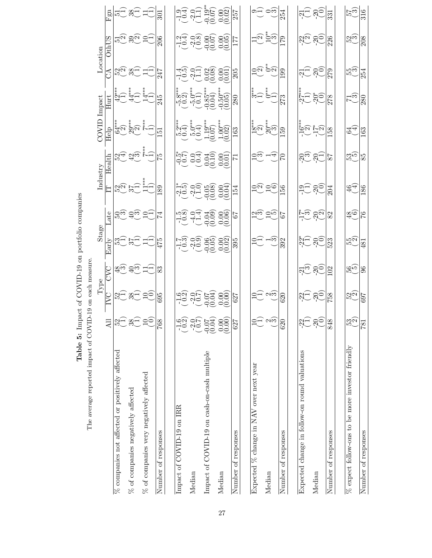|                                                     |                           | Type                                      |                 | Stage                                       |                                                  | Industry                                                |                                                  | COVID                                                                                                                                                                                                   | Impact                                                                                                                                                         | Location                                   |                                                 |                                                                       |
|-----------------------------------------------------|---------------------------|-------------------------------------------|-----------------|---------------------------------------------|--------------------------------------------------|---------------------------------------------------------|--------------------------------------------------|---------------------------------------------------------------------------------------------------------------------------------------------------------------------------------------------------------|----------------------------------------------------------------------------------------------------------------------------------------------------------------|--------------------------------------------|-------------------------------------------------|-----------------------------------------------------------------------|
|                                                     | $A$ ll                    |                                           | EXC             | arly                                        | ate                                              | Ē                                                       | Health                                           | $\overline{\text{He}}\text{lp}$                                                                                                                                                                         | $_{\rm{Hurt}}$                                                                                                                                                 | S                                          | <b>OthUS</b>                                    | $\Xi$                                                                 |
| $\%$ companies not affected or positively affected  |                           |                                           |                 |                                             |                                                  |                                                         |                                                  |                                                                                                                                                                                                         |                                                                                                                                                                |                                            |                                                 |                                                                       |
| $\%$ of companies negatively affected               | <u>nd xa ao</u>           | <u>සුට ෂිටු ප්ටු</u>                      | ಹ್ನು ಕ್ರೈಲ್ ಸ್ಕ | <b>2250 AU</b>                              | ಶ್ರ. ಕ್ರೈಲ್ವ <u>ಕ್ರ</u>                          | $\begin{bmatrix} 2 & 1 \\ 2 & 1 \\ 3 & 1 \end{bmatrix}$ |                                                  | $\begin{pmatrix} \frac{1}{4} & \frac{1}{4} & \frac{1}{4} & \frac{1}{4} \\ \frac{1}{4} & \frac{1}{4} & \frac{1}{4} & \frac{1}{4} \\ \frac{1}{4} & \frac{1}{4} & \frac{1}{4} & \frac{1}{4} \end{pmatrix}$ | $\begin{pmatrix} \frac{1}{4} & \frac{1}{4} & \frac{1}{4} \\ \frac{1}{4} & \frac{1}{4} & \frac{1}{4} \\ -\frac{1}{4} & \frac{1}{4} & \frac{1}{4} \end{pmatrix}$ | ಜ್ಞ ಜಿ–್ರ ಸ್ಕ                              | <u> ဗို ဗိုင် ဗိုင်</u>                         | '따, 36년 다.                                                            |
| $\%$ of companies very negatively affected          |                           |                                           |                 |                                             |                                                  |                                                         | <u>ကို အိမ္မွာ ဟု</u>                            |                                                                                                                                                                                                         |                                                                                                                                                                |                                            |                                                 |                                                                       |
| Number of responses                                 | 768                       | 695                                       | 83              | 475                                         | 74                                               | 89                                                      | 75                                               | 运                                                                                                                                                                                                       | 245                                                                                                                                                            | 247                                        | 206                                             | 301                                                                   |
| Impact of COVID-19 on IRR                           |                           |                                           |                 |                                             |                                                  |                                                         |                                                  |                                                                                                                                                                                                         |                                                                                                                                                                |                                            |                                                 |                                                                       |
| Median                                              |                           |                                           |                 |                                             |                                                  |                                                         |                                                  |                                                                                                                                                                                                         |                                                                                                                                                                |                                            |                                                 |                                                                       |
| Impact of COVID-19 on cash-on-cash multiple         |                           |                                           |                 |                                             |                                                  |                                                         |                                                  |                                                                                                                                                                                                         |                                                                                                                                                                |                                            |                                                 |                                                                       |
| Median                                              |                           | 99 96 99 99<br>09 99 99 99<br>09 96 99 99 |                 | ಗ್ಗೆ ರೈಲ್ವೆ ರೈಲ್ವೆ<br>ಗಂಗಂಗಂಗಂಗ<br>ಗಂಗಂಗಂಗಂ | 10 11 00 00 0<br>10 11 00 00 0<br>"20 04 40 00 0 | *1.6 00 b8 00<br>^ 0 01 00 00<br>^ 0 00 00              | 90 00 00 00 L<br>00 00 00 00 L<br>"VL 04 40 00 L | 2010 10 10 10<br>10 10 10 10 10 10<br>10 10 10 10 10 10                                                                                                                                                 |                                                                                                                                                                | 4.6 0H 88 8H<br>10 2H 88 8H<br>10 2H 88 8H | 10 10 00 00 1<br>10 10 00 00 1<br>14 00 00 00 1 |                                                                       |
| Number of responses                                 | $62^\circ$                | $\sqrt{627}$                              |                 | $\frac{395}{5}$                             |                                                  | $\overline{154}$                                        |                                                  | $\sqrt{63}$                                                                                                                                                                                             | $\overline{80}$                                                                                                                                                | $\overline{205}$                           |                                                 |                                                                       |
|                                                     |                           |                                           |                 |                                             |                                                  |                                                         |                                                  |                                                                                                                                                                                                         |                                                                                                                                                                |                                            |                                                 |                                                                       |
| Expected % change in NAV over next year             |                           |                                           |                 |                                             |                                                  |                                                         |                                                  |                                                                                                                                                                                                         |                                                                                                                                                                |                                            |                                                 |                                                                       |
| Median                                              | َمَهُ                     | ರ್–`ಶ್ರ                                   |                 | ರ್_ –್ಲ                                     | ပြယ္ခဲ့ပါ                                        | ರ್ಲ್ರ ರೊ                                                | ರಲ್ಲಿ –್ಲ                                        | း<br><u>စ</u> ံရှိ စံ<br>၁၉၈                                                                                                                                                                            | ta<br>Santa<br>C                                                                                                                                               | ರಲ್ಲು ಪು                                   |                                                 | ಲ್ಲ ರಹ                                                                |
| Number of responses                                 | 620                       | 620                                       |                 | 392                                         | 79                                               | $\frac{8}{2}$                                           |                                                  | 59                                                                                                                                                                                                      | 273                                                                                                                                                            | 199                                        | 179                                             | 254                                                                   |
| Expected change in follow-on round valuations       |                           |                                           |                 |                                             |                                                  |                                                         |                                                  |                                                                                                                                                                                                         |                                                                                                                                                                |                                            |                                                 |                                                                       |
| Median                                              | <u>ဗံုဗံ</u>              | ನ್ನ ನಲ                                    | ಸ್ಟ್ ಶ್ಯಂ       | مات من                                      | ہے کا جاتا ہے<br>پہلے پہلے                       | ದ್ದೆ <u>ನಂ</u>                                          | ನ್ನಲ್ಲಿ                                          |                                                                                                                                                                                                         | .<br>הֲרָהָ<br>הְרָחָ                                                                                                                                          | ಸ್ಸ್ ಕ್ಸ್                                  | <u> သူလို ဓုံဝ</u> ဲ                            | $\frac{1}{2}$ $\frac{1}{2}$ $\frac{1}{2}$ $\frac{1}{2}$ $\frac{1}{3}$ |
| Number of responses                                 | 848                       | 758                                       | $\boxed{02}$    | 523                                         | 82                                               | 204                                                     | 78                                               | 158                                                                                                                                                                                                     | 278                                                                                                                                                            | 279                                        | 226                                             |                                                                       |
|                                                     |                           |                                           |                 |                                             |                                                  |                                                         |                                                  |                                                                                                                                                                                                         |                                                                                                                                                                |                                            |                                                 |                                                                       |
| $\%$ expect follow-ons to be more investor friendly | $\mathbb{S}_{\mathbb{C}}$ | ಜ್ಞ                                       | မ္ဘက္ခဲ         | $\widetilde{\mathbb{E}}_{\mathcal{G}}$      | ఇం                                               | र्नुन,                                                  | ည်<br>သို့က                                      | ू<br>मृत्यू                                                                                                                                                                                             | ಗ್ರ                                                                                                                                                            | က်<br>ကို                                  | ಬ್ರ<br>ಬಲ                                       | $\frac{57}{50}$                                                       |
| Number of responses                                 | $\overline{181}$          | <b>L69</b>                                | 96              | $\overline{481}$                            | $\frac{8}{7}$                                    | 186                                                     | 85                                               | 163                                                                                                                                                                                                     | 280                                                                                                                                                            | $\overline{25}$                            | 208                                             |                                                                       |

Table 5: Impact of COVID-19 on portfolio companies **Table 5:** Impact of COVID-19 on portfolio companies

The average reported impact of COVID-19 on each measure. The average reported impact of COVID-19 on each measure.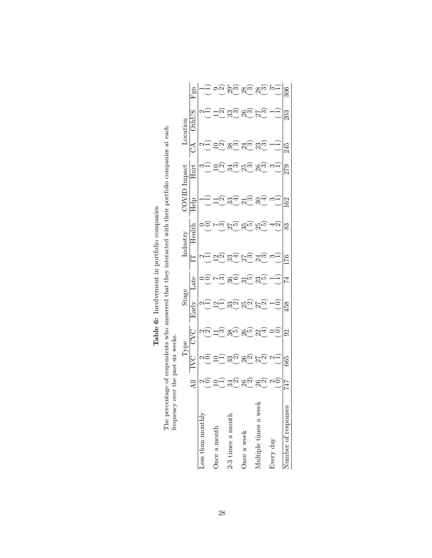| o Samanharr           |               |                                | <b>NUCLEA</b>    |                               |           |          |                           |                    |               |                  |                               |              |
|-----------------------|---------------|--------------------------------|------------------|-------------------------------|-----------|----------|---------------------------|--------------------|---------------|------------------|-------------------------------|--------------|
|                       |               |                                | $_{\text{type}}$ | Stage                         |           |          | holingt                   |                    |               |                  | heop                          |              |
|                       |               |                                |                  | $F_{\text{aII}}$ <sub>r</sub> | ate       |          | $rac{1}{2}$               | $\frac{1}{\Gamma}$ | İ             |                  |                               | $F_{\rm SD}$ |
| Less than monthly     |               |                                |                  |                               |           |          |                           |                    |               |                  |                               |              |
| Once a month          |               |                                |                  |                               |           |          |                           |                    |               |                  |                               |              |
| $2-3$ times a month   | li.           | ಜ್ಞಿ                           |                  | ಜ್ಞ                           |           | ೫        | າ<br>- 10                 |                    | $\zeta$       |                  |                               | ್ನ<br>ಸಿ     |
| Once a week           | ರ್ಜ           | ನ್ನ                            | ງ<br>ບັ          | Ю.<br>20                      | $\hat{p}$ | $\infty$ | $\widetilde{\mathcal{P}}$ |                    | ್ತ.<br>ಸ<br>ς | $\frac{4}{1}$ c. | $\mathbb{S}^{\circ}_{\alpha}$ | <u>ಞ್</u>    |
| Multiple times a week | $\frac{1}{2}$ | را<br>ح<br>ζ<br>$\overline{V}$ |                  |                               | ງ<br>ວັນ  | 4ς       |                           |                    | S             | j<br>1<br>င်     | $\mathbf{c}$                  | ష్ట          |
| Every day             |               |                                |                  |                               |           |          | $\hat{\mathcal{L}}$       |                    |               |                  |                               |              |
| Number of responses   | 747           | 665                            | 92               | 458                           | ⊻         | $^{57}$  | 83                        | $^{62}$            | 279           | 245              | 203                           |              |

Table 6: Involvement in portfolio companies Table 6: Involvement in portfolio companies

The percentage of respondents who answered that they interacted with their portfolio companies at each frequency over the past six weeks. The percentage of respondents who answered that they interacted with their portfolio companies at each frequency over the past six weeks.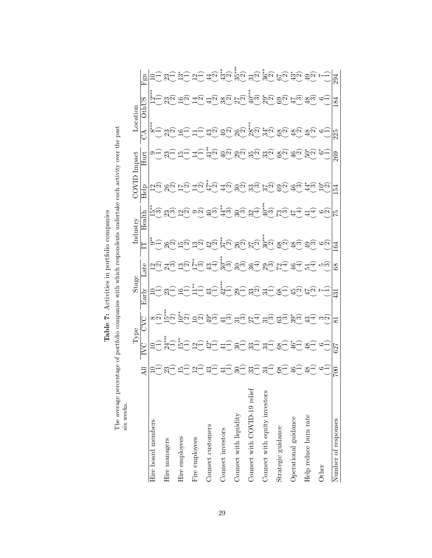| six weeks.                    |   |                     |                 |                |             |                |                              |                |                |                                                                                                                                                                                                                                                                                                                                                                                                                                                                                                                    |                                      |                   |
|-------------------------------|---|---------------------|-----------------|----------------|-------------|----------------|------------------------------|----------------|----------------|--------------------------------------------------------------------------------------------------------------------------------------------------------------------------------------------------------------------------------------------------------------------------------------------------------------------------------------------------------------------------------------------------------------------------------------------------------------------------------------------------------------------|--------------------------------------|-------------------|
|                               |   | Type                |                 | Stage          |             | Industry       |                              | COVID Impact   |                | Location                                                                                                                                                                                                                                                                                                                                                                                                                                                                                                           |                                      |                   |
|                               |   | ž                   | CVC             | Early          | Late        | E              | Health                       | Help           | Hurt           | $\Im$                                                                                                                                                                                                                                                                                                                                                                                                                                                                                                              | Othl                                 | $\rm{g}$<br>Ŀц    |
| Hire board members            |   |                     | ∞∾              |                |             |                | နံ့သို့                      |                |                | **<br>∞                                                                                                                                                                                                                                                                                                                                                                                                                                                                                                            | $\stackrel{***}{\scriptstyle{\sim}}$ |                   |
| Hire managers                 |   |                     | $\binom{15}{2}$ |                |             |                | $\infty$<br>జ                | ς              |                |                                                                                                                                                                                                                                                                                                                                                                                                                                                                                                                    |                                      |                   |
| Hire employees                |   |                     |                 |                |             |                | ς                            |                |                |                                                                                                                                                                                                                                                                                                                                                                                                                                                                                                                    |                                      |                   |
| Fire employees                |   |                     |                 |                | $\infty$    | ణ              |                              |                |                |                                                                                                                                                                                                                                                                                                                                                                                                                                                                                                                    | ς                                    |                   |
| Connect customers             | C | $\hat{\mathsf{c}}$  | $\infty$        |                | 4<br>Ç      | ς              |                              |                | N              | ς                                                                                                                                                                                                                                                                                                                                                                                                                                                                                                                  | $\mathfrak{a}$                       |                   |
| Connect investors             |   |                     | $\hat{S}$       | i∩∗∗           | $\infty$    | $\mathfrak{a}$ | $\ddot{4}$<br>$\mathfrak{c}$ | $\mathcal{C}$  | $\mathbf{c}$   | $\mathfrak{a}$                                                                                                                                                                                                                                                                                                                                                                                                                                                                                                     | $\frac{\infty}{2}$                   | န္မ်ာ<br>$\omega$ |
| Connect with liquidity        |   |                     | $\infty$        |                | $\infty$    | ଅଧି            | $\infty$                     | ಜ್ಞ            | $2^{\circ}$    |                                                                                                                                                                                                                                                                                                                                                                                                                                                                                                                    | $\omega$                             | $35***$           |
| Connect with COVID-19 relief  |   | ೫                   |                 | $\mathbf{C}$   | 4           | $\mathfrak{a}$ | 4<br>င့                      | 33<br>$\infty$ | $\mathfrak{a}$ | $\overset{\ast}{\phantom{a}}\overset{\ast}{\phantom{a}}\overset{\ast}{\phantom{a}}\overset{\ast}{\phantom{a}}\overset{\ast}{\phantom{a}}\overset{\ast}{\phantom{a}}\overset{\ast}{\phantom{a}}\overset{\ast}{\phantom{a}}\overset{\ast}{\phantom{a}}\overset{\ast}{\phantom{a}}\overset{\ast}{\phantom{a}}\overset{\ast}{\phantom{a}}\overset{\ast}{\phantom{a}}\overset{\ast}{\phantom{a}}\overset{\ast}{\phantom{a}}\overset{\ast}{\phantom{a}}\overset{\ast}{\phantom{a}}\overset{\ast}{\phantom{a}}\overset{\$ | 1∩**<br>$\infty$                     | $\overline{c}$    |
| Connect with equity investors |   |                     | $\infty$        |                | ರಾಜ         |                | S                            |                | က<br>ς         | $\mathfrak{g}$                                                                                                                                                                                                                                                                                                                                                                                                                                                                                                     | $\mathfrak{a}$                       | $\mathfrak{a}$    |
| Strategic guidance            |   |                     | $\infty$<br>္င  |                |             |                |                              |                | $\mathfrak{a}$ | $\frac{8}{2}$                                                                                                                                                                                                                                                                                                                                                                                                                                                                                                      | $\mathfrak{a}$                       |                   |
| Operational guidance          |   |                     | m,              |                |             | က              | ₹                            |                | $\mathfrak{a}$ | œ<br>င                                                                                                                                                                                                                                                                                                                                                                                                                                                                                                             | က                                    |                   |
| Help reduce burn rate         | œ | $\overline{\infty}$ | C               |                |             |                |                              | $\infty$       | ς              | ထင္                                                                                                                                                                                                                                                                                                                                                                                                                                                                                                                | <u>ထွ</u> က                          |                   |
| Other                         |   |                     | າເ              |                | టా          |                |                              | ς              |                |                                                                                                                                                                                                                                                                                                                                                                                                                                                                                                                    |                                      |                   |
| Number of responses           |   | 627                 | ವ               | $\overline{3}$ | $8^{\circ}$ | 164            | 75                           | 154            | 269            | 225                                                                                                                                                                                                                                                                                                                                                                                                                                                                                                                | 184                                  | 294               |

Table 7: Activities in portfolio companies

 $\label{eq:Table 7} \textbf{Table 7:} \textit{Active int} \xspace \textit{Aclivities in portfolio companies}$  <br> The average percentage of portfolio companies with which respondents undertake each activity over the past The average percentage of portfolio companies with which respondents undertake each activity over the past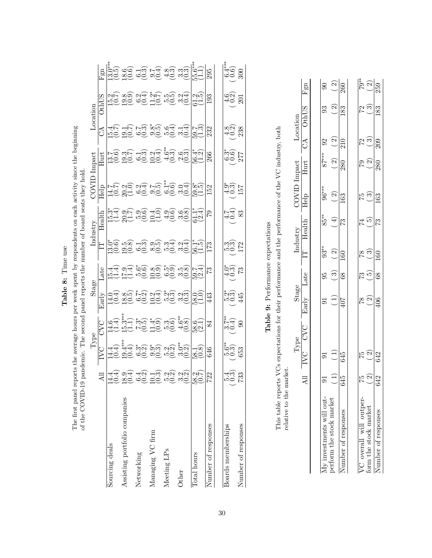| ă                |
|------------------|
| F<br>É           |
| ன்               |
| α.<br>ׇ֧֖֖֖֖֚֚֜֕ |

The first panel reports the average hours per week spent by respondents on each activity since the beginning of the COVID-19 pandemic. The second panel reports the number of board seats they hold. The first panel reports the average hours per week spent by respondents on each activity since the beginning of the COVID-19 pandemic. The second panel reports the number of board seats they hold.

|                               |                                                                               |                                                                                                                                                                                                                                     |                                                                                                                                                                                                                                                                                                                                                                                                                                   |                                                                                                                                                                                                          |            | .<br>Ц                                                                                                                                                                                  |       |               |                                                                                                                                                                                                                                                                             |                                                                                         |                                                                                                                      |             |
|-------------------------------|-------------------------------------------------------------------------------|-------------------------------------------------------------------------------------------------------------------------------------------------------------------------------------------------------------------------------------|-----------------------------------------------------------------------------------------------------------------------------------------------------------------------------------------------------------------------------------------------------------------------------------------------------------------------------------------------------------------------------------------------------------------------------------|----------------------------------------------------------------------------------------------------------------------------------------------------------------------------------------------------------|------------|-----------------------------------------------------------------------------------------------------------------------------------------------------------------------------------------|-------|---------------|-----------------------------------------------------------------------------------------------------------------------------------------------------------------------------------------------------------------------------------------------------------------------------|-----------------------------------------------------------------------------------------|----------------------------------------------------------------------------------------------------------------------|-------------|
|                               |                                                                               |                                                                                                                                                                                                                                     | DAQ                                                                                                                                                                                                                                                                                                                                                                                                                               | $\frac{1}{2}$ arly                                                                                                                                                                                       |            |                                                                                                                                                                                         |       | Help          |                                                                                                                                                                                                                                                                             | $\overline{\mathbb{C}}$                                                                 |                                                                                                                      |             |
| Sourcing deals                |                                                                               |                                                                                                                                                                                                                                     |                                                                                                                                                                                                                                                                                                                                                                                                                                   |                                                                                                                                                                                                          |            |                                                                                                                                                                                         |       |               |                                                                                                                                                                                                                                                                             |                                                                                         |                                                                                                                      |             |
| Assisting portfolio companies |                                                                               |                                                                                                                                                                                                                                     |                                                                                                                                                                                                                                                                                                                                                                                                                                   |                                                                                                                                                                                                          |            |                                                                                                                                                                                         |       |               |                                                                                                                                                                                                                                                                             |                                                                                         |                                                                                                                      |             |
| Networking                    |                                                                               |                                                                                                                                                                                                                                     |                                                                                                                                                                                                                                                                                                                                                                                                                                   |                                                                                                                                                                                                          |            |                                                                                                                                                                                         |       |               |                                                                                                                                                                                                                                                                             |                                                                                         |                                                                                                                      |             |
| Managing VC firm              |                                                                               |                                                                                                                                                                                                                                     |                                                                                                                                                                                                                                                                                                                                                                                                                                   |                                                                                                                                                                                                          |            |                                                                                                                                                                                         |       |               |                                                                                                                                                                                                                                                                             |                                                                                         |                                                                                                                      |             |
| Meeting LPs                   |                                                                               |                                                                                                                                                                                                                                     |                                                                                                                                                                                                                                                                                                                                                                                                                                   |                                                                                                                                                                                                          |            |                                                                                                                                                                                         |       |               |                                                                                                                                                                                                                                                                             |                                                                                         |                                                                                                                      |             |
| Other                         | 10 20 00 00 20 00 00 20<br>40 20 00 00 00 00 20 20<br>40 04 40 40 20 20 20 20 | لمات الله عليه الله عليه الله عليه الله عليه الله عليه الله عليه الله عليه الله عليه الله عليه الله عليه الله<br>طبق شرط يناوي يون الله عليه الله عليه الله عليه الله عليه الله عليه الله عليه الله عن الله عليه الله عليه الله<br> | $\left  \begin{matrix} 1 & 0 & 0 \\ 0 & 0 & 0 \\ 0 & 0 & 0 \end{matrix} \right  \begin{matrix} 1 & 0 & 0 \\ 0 & 0 & 0 \\ 0 & 0 & 0 \end{matrix} \right  \left. \begin{matrix} 1 & 0 & 0 \\ 0 & 0 & 0 \\ 0 & 0 & 0 \end{matrix} \right  \left. \begin{matrix} 1 & 0 & 0 \\ 0 & 0 & 0 \\ 0 & 0 & 0 \end{matrix} \right  \left. \begin{matrix} 1 & 0 & 0 \\ 0 & 0 & 0 \\ 0 & 0 & 0 \end{matrix} \right  \left. \begin{matrix} 1 & 0$ | $\left \frac{1}{2} \right _{\infty}$ and $\left \frac{1}{2} \right _{\infty}$ and $\left \frac{1}{2} \right _{\infty}$ and $\left \frac{1}{2} \right _{\infty}$ and $\left \frac{1}{2} \right _{\infty}$ |            | $\left  - \left  \frac{1}{12} \right  \right  \approx 0.05$ and also also also also also also $\left  \frac{1}{12} \right  \approx 0.05$ and $\left  \frac{1}{12} \right  \approx 0.05$ |       |               | $\left  \frac{1}{\text{H}} \right _{\text{H}}^{\text{L}}$ and the via $\left  \frac{1}{\text{H}} \right _{\text{H}}^{\text{L}}$ and the via $\left  \frac{1}{\text{H}} \right _{\text{H}}^{\text{L}}$ and the via $\left  \frac{1}{\text{H}} \right _{\text{H}}^{\text{L}}$ | ng gố gố vô nộ uộ lữa gia<br> nó độ có vô nộ uộ  và  và <br> nh Hệ hu gia để Hà  riệ  v | ಸಲ್ಲ ವದ್ದ ಎದ್ದಿ ಪದ್ಧ ವರ್ಷ  <br> ಸದ್ದ ವದ್ದ ಎದ್ದ ಪದ್ಧ ಪದ್ಧ   ರಾಜ್ಯ ವರ್ಷ   ರಾಜ್ಯ<br> ಸದ್ದ ಪಲ್ಲ ವರ್ಷ ಪಟ್ಟ ಪಟ್ಟ ಪಟ್ಟ ಪಟ್ಟ |             |
| Total hours                   |                                                                               |                                                                                                                                                                                                                                     |                                                                                                                                                                                                                                                                                                                                                                                                                                   |                                                                                                                                                                                                          |            |                                                                                                                                                                                         |       |               |                                                                                                                                                                                                                                                                             |                                                                                         |                                                                                                                      |             |
| Number of responses           | 722                                                                           |                                                                                                                                                                                                                                     |                                                                                                                                                                                                                                                                                                                                                                                                                                   |                                                                                                                                                                                                          |            |                                                                                                                                                                                         |       |               |                                                                                                                                                                                                                                                                             |                                                                                         |                                                                                                                      |             |
| Boards memberships            | َ بَ<br>بَابَة<br>بِيتَ                                                       | .<br>ಎಂ ದಿ<br>ದಿರಿ                                                                                                                                                                                                                  | .<br>ಇಂ<br>೧೯೧                                                                                                                                                                                                                                                                                                                                                                                                                    | न्थू<br>एप्ट नै                                                                                                                                                                                          | ಗಂ<br>ಧರ ಒ | ಲಂ ದ<br>ಬಲ್ಯ ದ                                                                                                                                                                          | 40.83 | 40 ಗು<br>೧೮ ಗ | స్తే<br>సీల్ 7<br>277                                                                                                                                                                                                                                                       | ಷ್ಟ ಜಿ<br>ಹಂ ಜ                                                                          | 40 Y<br>40 Y                                                                                                         | ್ಷ<br>ಅಂ ನಿ |
| Number of responses           | 733                                                                           |                                                                                                                                                                                                                                     |                                                                                                                                                                                                                                                                                                                                                                                                                                   |                                                                                                                                                                                                          |            |                                                                                                                                                                                         |       |               |                                                                                                                                                                                                                                                                             |                                                                                         |                                                                                                                      |             |

# Table 9: Performance expectations Table 9: Performance expectations

This table reports VCs expectations for their performance and the performance of the VC industry, both This table reports VCs expectations for their performance and the performance of the VC industry, both relative to the market. relative to the market.

Stage

|                                                         |                 |                            | ${\rm Type}$ | Stage           |                          |                   | Industry         | COVID Impact           |                      |                | Location           |                            |
|---------------------------------------------------------|-----------------|----------------------------|--------------|-----------------|--------------------------|-------------------|------------------|------------------------|----------------------|----------------|--------------------|----------------------------|
|                                                         |                 | IVC                        | <b>CVC</b>   | Early           | Late                     | E<br>E            | Health           | $\overline{\text{He}}$ | Hurt                 | $\mathbb{S}^4$ | <b>OthUS</b>       | Fgn                        |
|                                                         |                 |                            |              |                 |                          |                   |                  |                        |                      |                |                    |                            |
| $\Lambda$ y investments will out-                       |                 |                            |              |                 | 95                       | $93**$            | 85**             | $\frac{1}{96}$         | $87***$              | $\Im$          | 93                 | $\infty$                   |
| perform the stock market                                | $\widehat{\Xi}$ | $\left(\frac{1}{2}\right)$ |              | $\widehat{\Xi}$ | $\widehat{\mathfrak{S}}$ | $\left( 2\right)$ | $(\overline{F})$ | $\left( 2\right)$      | $\binom{2}{ }$       | $\binom{2}{ }$ | $\widehat{\Omega}$ | $\left( 2\right)$          |
| Jumber of responses                                     | 645             | 645                        |              | 407             | 68                       | 160               | 73               | 163                    | 280                  | 210            | 183                | 260                        |
|                                                         |                 |                            |              |                 |                          |                   |                  |                        |                      |                |                    |                            |
|                                                         |                 | 52                         |              |                 | 73                       | $\frac{8}{18}$    | 74               |                        |                      |                |                    |                            |
| $\rm \sqrt{C}$ overall will outperform the stock market | $\frac{15}{2}$  | $\Omega$                   |              | $\frac{8}{2}$   | $\widetilde{\mathbf{5}}$ | <u>ကြ</u>         | $\widetilde{5}$  | <u>က် ဖ</u>            | ၉ $\frac{\infty}{2}$ | $\frac{5}{2}$  | <u>မ် ဖ</u>        | $\sum_{\alpha=1}^{\infty}$ |
| Number of responses                                     | 642             | 642                        |              | 406             | $\frac{8}{3}$            | 160               | 73               | 163                    | 280                  | 209            | 183                | 259                        |
|                                                         |                 |                            |              |                 |                          |                   |                  |                        |                      |                |                    |                            |